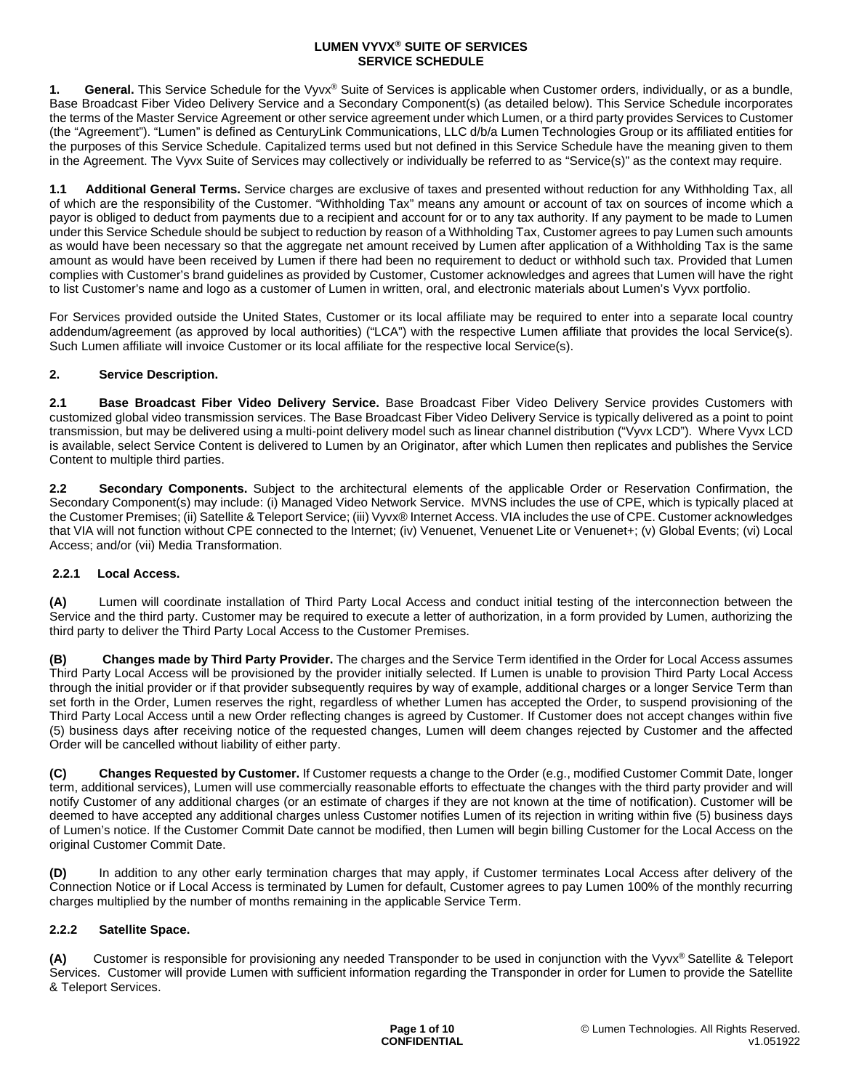1. General. This Service Schedule for the Vyvx® Suite of Services is applicable when Customer orders, individually, or as a bundle, Base Broadcast Fiber Video Delivery Service and a Secondary Component(s) (as detailed below). This Service Schedule incorporates the terms of the Master Service Agreement or other service agreement under which Lumen, or a third party provides Services to Customer (the "Agreement"). "Lumen" is defined as CenturyLink Communications, LLC d/b/a Lumen Technologies Group or its affiliated entities for the purposes of this Service Schedule. Capitalized terms used but not defined in this Service Schedule have the meaning given to them in the Agreement. The Vyvx Suite of Services may collectively or individually be referred to as "Service(s)" as the context may require.

**1.1 Additional General Terms.** Service charges are exclusive of taxes and presented without reduction for any Withholding Tax, all of which are the responsibility of the Customer. "Withholding Tax" means any amount or account of tax on sources of income which a payor is obliged to deduct from payments due to a recipient and account for or to any tax authority. If any payment to be made to Lumen under this Service Schedule should be subject to reduction by reason of a Withholding Tax, Customer agrees to pay Lumen such amounts as would have been necessary so that the aggregate net amount received by Lumen after application of a Withholding Tax is the same amount as would have been received by Lumen if there had been no requirement to deduct or withhold such tax. Provided that Lumen complies with Customer's brand guidelines as provided by Customer, Customer acknowledges and agrees that Lumen will have the right to list Customer's name and logo as a customer of Lumen in written, oral, and electronic materials about Lumen's Vyvx portfolio.

For Services provided outside the United States, Customer or its local affiliate may be required to enter into a separate local country addendum/agreement (as approved by local authorities) ("LCA") with the respective Lumen affiliate that provides the local Service(s). Such Lumen affiliate will invoice Customer or its local affiliate for the respective local Service(s).

# **2. Service Description.**

**2.1 Base Broadcast Fiber Video Delivery Service.** Base Broadcast Fiber Video Delivery Service provides Customers with customized global video transmission services. The Base Broadcast Fiber Video Delivery Service is typically delivered as a point to point transmission, but may be delivered using a multi-point delivery model such as linear channel distribution ("Vyvx LCD"). Where Vyvx LCD is available, select Service Content is delivered to Lumen by an Originator, after which Lumen then replicates and publishes the Service Content to multiple third parties.

**2.2 Secondary Components.** Subject to the architectural elements of the applicable Order or Reservation Confirmation, the Secondary Component(s) may include: (i) Managed Video Network Service. MVNS includes the use of CPE, which is typically placed at the Customer Premises; (ii) Satellite & Teleport Service; (iii) Vyvx® Internet Access. VIA includes the use of CPE. Customer acknowledges that VIA will not function without CPE connected to the Internet; (iv) Venuenet, Venuenet Lite or Venuenet+; (v) Global Events; (vi) Local Access; and/or (vii) Media Transformation.

## **2.2.1 Local Access.**

**(A)** Lumen will coordinate installation of Third Party Local Access and conduct initial testing of the interconnection between the Service and the third party. Customer may be required to execute a letter of authorization, in a form provided by Lumen, authorizing the third party to deliver the Third Party Local Access to the Customer Premises.

**(B) Changes made by Third Party Provider.** The charges and the Service Term identified in the Order for Local Access assumes Third Party Local Access will be provisioned by the provider initially selected. If Lumen is unable to provision Third Party Local Access through the initial provider or if that provider subsequently requires by way of example, additional charges or a longer Service Term than set forth in the Order, Lumen reserves the right, regardless of whether Lumen has accepted the Order, to suspend provisioning of the Third Party Local Access until a new Order reflecting changes is agreed by Customer. If Customer does not accept changes within five (5) business days after receiving notice of the requested changes, Lumen will deem changes rejected by Customer and the affected Order will be cancelled without liability of either party.

**(C) Changes Requested by Customer.** If Customer requests a change to the Order (e.g., modified Customer Commit Date, longer term, additional services), Lumen will use commercially reasonable efforts to effectuate the changes with the third party provider and will notify Customer of any additional charges (or an estimate of charges if they are not known at the time of notification). Customer will be deemed to have accepted any additional charges unless Customer notifies Lumen of its rejection in writing within five (5) business days of Lumen's notice. If the Customer Commit Date cannot be modified, then Lumen will begin billing Customer for the Local Access on the original Customer Commit Date.

**(D)** In addition to any other early termination charges that may apply, if Customer terminates Local Access after delivery of the Connection Notice or if Local Access is terminated by Lumen for default, Customer agrees to pay Lumen 100% of the monthly recurring charges multiplied by the number of months remaining in the applicable Service Term.

## **2.2.2 Satellite Space.**

**(A)** Customer is responsible for provisioning any needed Transponder to be used in conjunction with the Vyvx® Satellite & Teleport Services. Customer will provide Lumen with sufficient information regarding the Transponder in order for Lumen to provide the Satellite & Teleport Services.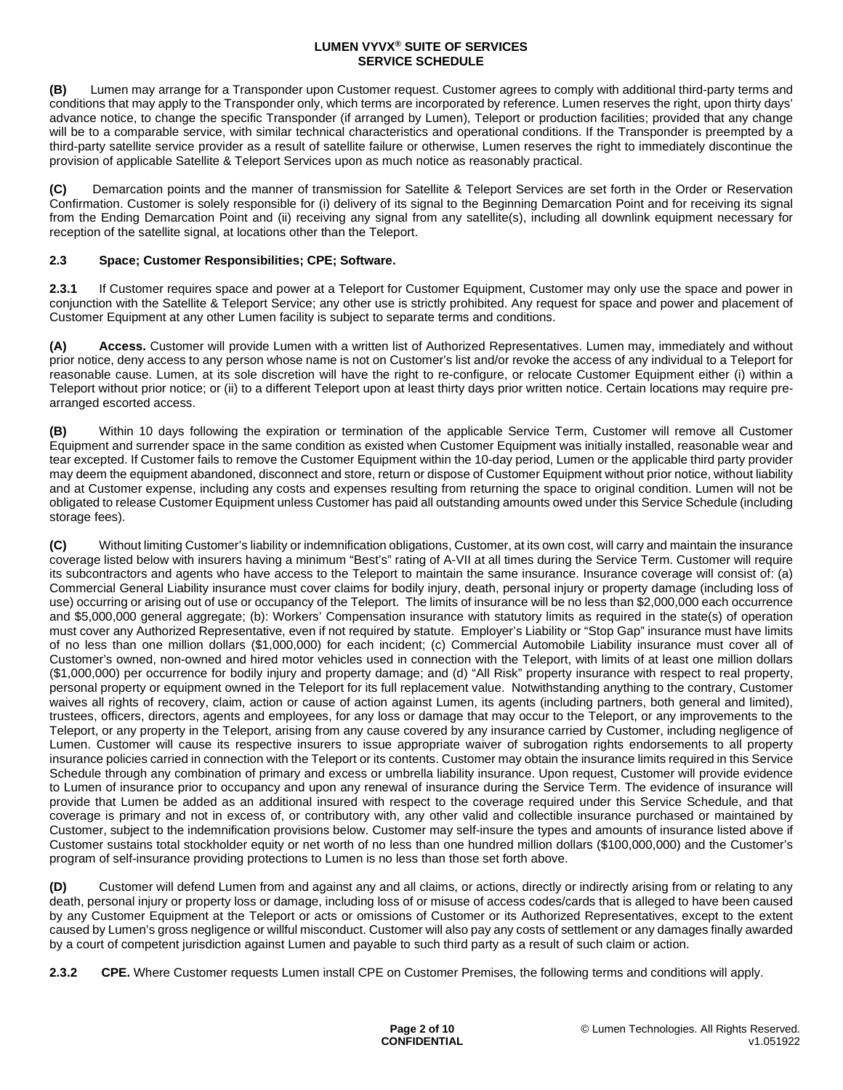**(B)** Lumen may arrange for a Transponder upon Customer request. Customer agrees to comply with additional third-party terms and conditions that may apply to the Transponder only, which terms are incorporated by reference. Lumen reserves the right, upon thirty days' advance notice, to change the specific Transponder (if arranged by Lumen), Teleport or production facilities; provided that any change will be to a comparable service, with similar technical characteristics and operational conditions. If the Transponder is preempted by a third-party satellite service provider as a result of satellite failure or otherwise, Lumen reserves the right to immediately discontinue the provision of applicable Satellite & Teleport Services upon as much notice as reasonably practical.

**(C)** Demarcation points and the manner of transmission for Satellite & Teleport Services are set forth in the Order or Reservation Confirmation. Customer is solely responsible for (i) delivery of its signal to the Beginning Demarcation Point and for receiving its signal from the Ending Demarcation Point and (ii) receiving any signal from any satellite(s), including all downlink equipment necessary for reception of the satellite signal, at locations other than the Teleport.

# **2.3 Space; Customer Responsibilities; CPE; Software.**

**2.3.1** If Customer requires space and power at a Teleport for Customer Equipment, Customer may only use the space and power in conjunction with the Satellite & Teleport Service; any other use is strictly prohibited. Any request for space and power and placement of Customer Equipment at any other Lumen facility is subject to separate terms and conditions.

**(A) Access.** Customer will provide Lumen with a written list of Authorized Representatives. Lumen may, immediately and without prior notice, deny access to any person whose name is not on Customer's list and/or revoke the access of any individual to a Teleport for reasonable cause. Lumen, at its sole discretion will have the right to re-configure, or relocate Customer Equipment either (i) within a Teleport without prior notice; or (ii) to a different Teleport upon at least thirty days prior written notice. Certain locations may require prearranged escorted access.

**(B)** Within 10 days following the expiration or termination of the applicable Service Term, Customer will remove all Customer Equipment and surrender space in the same condition as existed when Customer Equipment was initially installed, reasonable wear and tear excepted. If Customer fails to remove the Customer Equipment within the 10-day period, Lumen or the applicable third party provider may deem the equipment abandoned, disconnect and store, return or dispose of Customer Equipment without prior notice, without liability and at Customer expense, including any costs and expenses resulting from returning the space to original condition. Lumen will not be obligated to release Customer Equipment unless Customer has paid all outstanding amounts owed under this Service Schedule (including storage fees).

**(C)** Without limiting Customer's liability or indemnification obligations, Customer, at its own cost, will carry and maintain the insurance coverage listed below with insurers having a minimum "Best's" rating of A-VII at all times during the Service Term. Customer will require its subcontractors and agents who have access to the Teleport to maintain the same insurance. Insurance coverage will consist of: (a) Commercial General Liability insurance must cover claims for bodily injury, death, personal injury or property damage (including loss of use) occurring or arising out of use or occupancy of the Teleport. The limits of insurance will be no less than \$2,000,000 each occurrence and \$5,000,000 general aggregate; (b): Workers' Compensation insurance with statutory limits as required in the state(s) of operation must cover any Authorized Representative, even if not required by statute. Employer's Liability or "Stop Gap" insurance must have limits of no less than one million dollars (\$1,000,000) for each incident; (c) Commercial Automobile Liability insurance must cover all of Customer's owned, non-owned and hired motor vehicles used in connection with the Teleport, with limits of at least one million dollars (\$1,000,000) per occurrence for bodily injury and property damage; and (d) "All Risk" property insurance with respect to real property, personal property or equipment owned in the Teleport for its full replacement value. Notwithstanding anything to the contrary, Customer waives all rights of recovery, claim, action or cause of action against Lumen, its agents (including partners, both general and limited), trustees, officers, directors, agents and employees, for any loss or damage that may occur to the Teleport, or any improvements to the Teleport, or any property in the Teleport, arising from any cause covered by any insurance carried by Customer, including negligence of Lumen. Customer will cause its respective insurers to issue appropriate waiver of subrogation rights endorsements to all property insurance policies carried in connection with the Teleport or its contents. Customer may obtain the insurance limits required in this Service Schedule through any combination of primary and excess or umbrella liability insurance. Upon request, Customer will provide evidence to Lumen of insurance prior to occupancy and upon any renewal of insurance during the Service Term. The evidence of insurance will provide that Lumen be added as an additional insured with respect to the coverage required under this Service Schedule, and that coverage is primary and not in excess of, or contributory with, any other valid and collectible insurance purchased or maintained by Customer, subject to the indemnification provisions below. Customer may self-insure the types and amounts of insurance listed above if Customer sustains total stockholder equity or net worth of no less than one hundred million dollars (\$100,000,000) and the Customer's program of self-insurance providing protections to Lumen is no less than those set forth above.

**(D)** Customer will defend Lumen from and against any and all claims, or actions, directly or indirectly arising from or relating to any death, personal injury or property loss or damage, including loss of or misuse of access codes/cards that is alleged to have been caused by any Customer Equipment at the Teleport or acts or omissions of Customer or its Authorized Representatives, except to the extent caused by Lumen's gross negligence or willful misconduct. Customer will also pay any costs of settlement or any damages finally awarded by a court of competent jurisdiction against Lumen and payable to such third party as a result of such claim or action.

**2.3.2 CPE.** Where Customer requests Lumen install CPE on Customer Premises, the following terms and conditions will apply.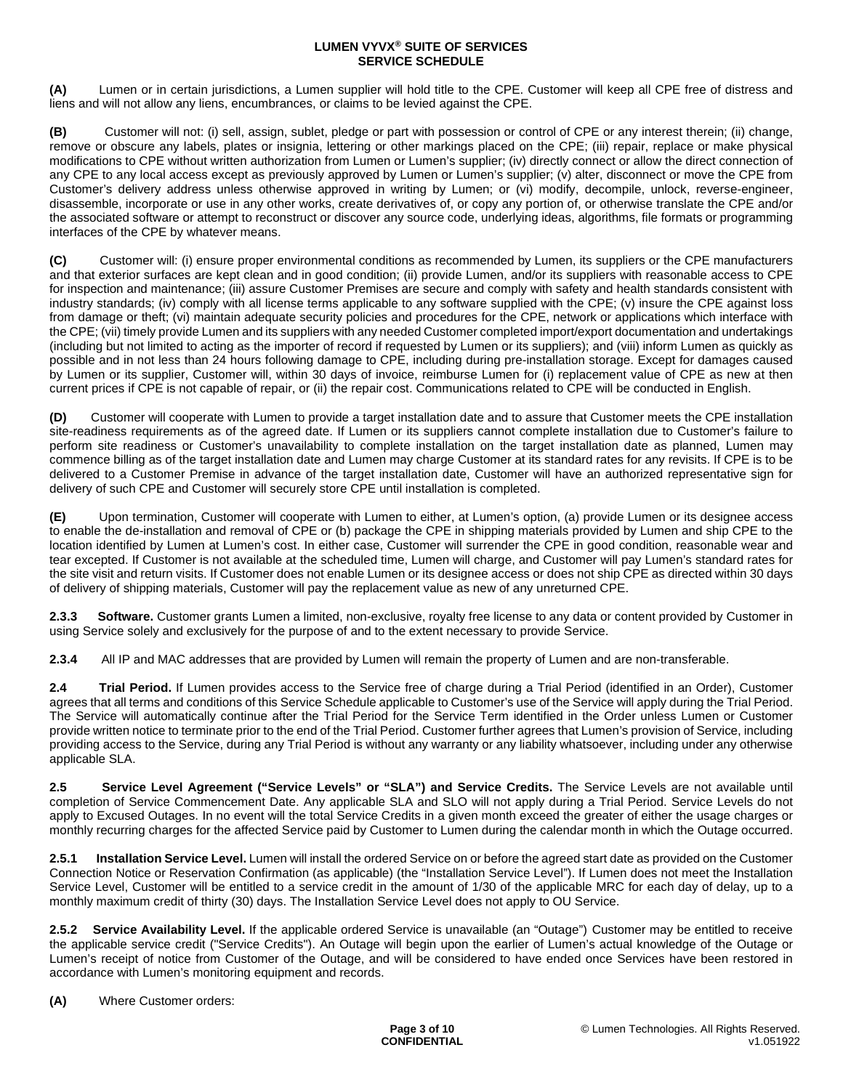**(A)** Lumen or in certain jurisdictions, a Lumen supplier will hold title to the CPE. Customer will keep all CPE free of distress and liens and will not allow any liens, encumbrances, or claims to be levied against the CPE.

**(B)** Customer will not: (i) sell, assign, sublet, pledge or part with possession or control of CPE or any interest therein; (ii) change, remove or obscure any labels, plates or insignia, lettering or other markings placed on the CPE; (iii) repair, replace or make physical modifications to CPE without written authorization from Lumen or Lumen's supplier; (iv) directly connect or allow the direct connection of any CPE to any local access except as previously approved by Lumen or Lumen's supplier; (v) alter, disconnect or move the CPE from Customer's delivery address unless otherwise approved in writing by Lumen; or (vi) modify, decompile, unlock, reverse-engineer, disassemble, incorporate or use in any other works, create derivatives of, or copy any portion of, or otherwise translate the CPE and/or the associated software or attempt to reconstruct or discover any source code, underlying ideas, algorithms, file formats or programming interfaces of the CPE by whatever means.

**(C)** Customer will: (i) ensure proper environmental conditions as recommended by Lumen, its suppliers or the CPE manufacturers and that exterior surfaces are kept clean and in good condition; (ii) provide Lumen, and/or its suppliers with reasonable access to CPE for inspection and maintenance; (iii) assure Customer Premises are secure and comply with safety and health standards consistent with industry standards; (iv) comply with all license terms applicable to any software supplied with the CPE; (v) insure the CPE against loss from damage or theft; (vi) maintain adequate security policies and procedures for the CPE, network or applications which interface with the CPE; (vii) timely provide Lumen and its suppliers with any needed Customer completed import/export documentation and undertakings (including but not limited to acting as the importer of record if requested by Lumen or its suppliers); and (viii) inform Lumen as quickly as possible and in not less than 24 hours following damage to CPE, including during pre-installation storage. Except for damages caused by Lumen or its supplier, Customer will, within 30 days of invoice, reimburse Lumen for (i) replacement value of CPE as new at then current prices if CPE is not capable of repair, or (ii) the repair cost. Communications related to CPE will be conducted in English.

**(D)** Customer will cooperate with Lumen to provide a target installation date and to assure that Customer meets the CPE installation site-readiness requirements as of the agreed date. If Lumen or its suppliers cannot complete installation due to Customer's failure to perform site readiness or Customer's unavailability to complete installation on the target installation date as planned, Lumen may commence billing as of the target installation date and Lumen may charge Customer at its standard rates for any revisits. If CPE is to be delivered to a Customer Premise in advance of the target installation date, Customer will have an authorized representative sign for delivery of such CPE and Customer will securely store CPE until installation is completed.

**(E)** Upon termination, Customer will cooperate with Lumen to either, at Lumen's option, (a) provide Lumen or its designee access to enable the de-installation and removal of CPE or (b) package the CPE in shipping materials provided by Lumen and ship CPE to the location identified by Lumen at Lumen's cost. In either case, Customer will surrender the CPE in good condition, reasonable wear and tear excepted. If Customer is not available at the scheduled time, Lumen will charge, and Customer will pay Lumen's standard rates for the site visit and return visits. If Customer does not enable Lumen or its designee access or does not ship CPE as directed within 30 days of delivery of shipping materials, Customer will pay the replacement value as new of any unreturned CPE.

**2.3.3 Software.** Customer grants Lumen a limited, non-exclusive, royalty free license to any data or content provided by Customer in using Service solely and exclusively for the purpose of and to the extent necessary to provide Service.

**2.3.4** All IP and MAC addresses that are provided by Lumen will remain the property of Lumen and are non-transferable.

**2.4 Trial Period.** If Lumen provides access to the Service free of charge during a Trial Period (identified in an Order), Customer agrees that all terms and conditions of this Service Schedule applicable to Customer's use of the Service will apply during the Trial Period. The Service will automatically continue after the Trial Period for the Service Term identified in the Order unless Lumen or Customer provide written notice to terminate prior to the end of the Trial Period. Customer further agrees that Lumen's provision of Service, including providing access to the Service, during any Trial Period is without any warranty or any liability whatsoever, including under any otherwise applicable SLA.

**2.5 Service Level Agreement ("Service Levels" or "SLA") and Service Credits.** The Service Levels are not available until completion of Service Commencement Date. Any applicable SLA and SLO will not apply during a Trial Period. Service Levels do not apply to Excused Outages. In no event will the total Service Credits in a given month exceed the greater of either the usage charges or monthly recurring charges for the affected Service paid by Customer to Lumen during the calendar month in which the Outage occurred.

**2.5.1 Installation Service Level.** Lumen will install the ordered Service on or before the agreed start date as provided on the Customer Connection Notice or Reservation Confirmation (as applicable) (the "Installation Service Level"). If Lumen does not meet the Installation Service Level, Customer will be entitled to a service credit in the amount of 1/30 of the applicable MRC for each day of delay, up to a monthly maximum credit of thirty (30) days. The Installation Service Level does not apply to OU Service.

**2.5.2 Service Availability Level.** If the applicable ordered Service is unavailable (an "Outage") Customer may be entitled to receive the applicable service credit ("Service Credits"). An Outage will begin upon the earlier of Lumen's actual knowledge of the Outage or Lumen's receipt of notice from Customer of the Outage, and will be considered to have ended once Services have been restored in accordance with Lumen's monitoring equipment and records.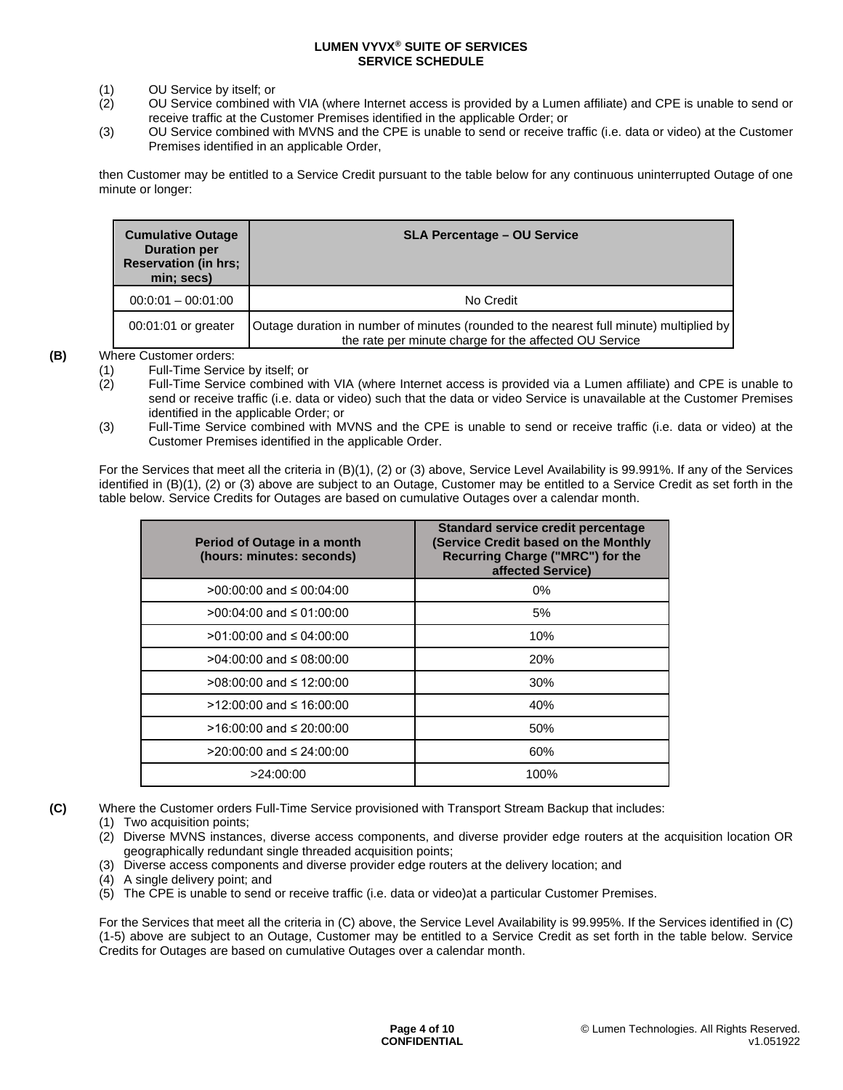- (1) OU Service by itself; or
- (2) OU Service combined with VIA (where Internet access is provided by a Lumen affiliate) and CPE is unable to send or receive traffic at the Customer Premises identified in the applicable Order; or
- (3) OU Service combined with MVNS and the CPE is unable to send or receive traffic (i.e. data or video) at the Customer Premises identified in an applicable Order,

then Customer may be entitled to a Service Credit pursuant to the table below for any continuous uninterrupted Outage of one minute or longer:

| <b>Cumulative Outage</b><br><b>Duration per</b><br><b>Reservation (in hrs;</b><br>min; secs) | <b>SLA Percentage – OU Service</b>                                                                                                                |
|----------------------------------------------------------------------------------------------|---------------------------------------------------------------------------------------------------------------------------------------------------|
| $00:0:01 - 00:01:00$                                                                         | No Credit                                                                                                                                         |
| 00:01:01 or greater                                                                          | Outage duration in number of minutes (rounded to the nearest full minute) multiplied by<br>the rate per minute charge for the affected OU Service |

**(B)** Where Customer orders:

- (2) Full-Time Service combined with VIA (where Internet access is provided via a Lumen affiliate) and CPE is unable to send or receive traffic (i.e. data or video) such that the data or video Service is unavailable at the Customer Premises identified in the applicable Order; or
- (3) Full-Time Service combined with MVNS and the CPE is unable to send or receive traffic (i.e. data or video) at the Customer Premises identified in the applicable Order.

For the Services that meet all the criteria in (B)(1), (2) or (3) above, Service Level Availability is 99.991%. If any of the Services identified in (B)(1), (2) or (3) above are subject to an Outage, Customer may be entitled to a Service Credit as set forth in the table below. Service Credits for Outages are based on cumulative Outages over a calendar month.

| Period of Outage in a month<br>(hours: minutes: seconds) | Standard service credit percentage<br>(Service Credit based on the Monthly<br>Recurring Charge ("MRC") for the<br>affected Service) |
|----------------------------------------------------------|-------------------------------------------------------------------------------------------------------------------------------------|
| $>00:00:00$ and $\leq 00:04:00$                          | $0\%$                                                                                                                               |
| >00:04:00 and ≤ 01:00:00                                 | 5%                                                                                                                                  |
| $>01:00:00$ and $\leq 04:00:00$                          | 10%                                                                                                                                 |
| $>04:00:00$ and $\leq 08:00:00$                          | <b>20%</b>                                                                                                                          |
| >08:00:00 and ≤ 12:00:00                                 | 30%                                                                                                                                 |
| $>12:00:00$ and ≤ 16:00:00                               | 40%                                                                                                                                 |
| $>16:00:00$ and ≤ 20:00:00                               | 50%                                                                                                                                 |
| $>$ 20:00:00 and ≤ 24:00:00                              | 60%                                                                                                                                 |
| >24:00:00                                                | 100%                                                                                                                                |

**(C)** Where the Customer orders Full-Time Service provisioned with Transport Stream Backup that includes:

(1) Two acquisition points;

(3) Diverse access components and diverse provider edge routers at the delivery location; and

(4) A single delivery point; and

(5) The CPE is unable to send or receive traffic (i.e. data or video)at a particular Customer Premises.

For the Services that meet all the criteria in (C) above, the Service Level Availability is 99.995%. If the Services identified in (C) (1-5) above are subject to an Outage, Customer may be entitled to a Service Credit as set forth in the table below. Service Credits for Outages are based on cumulative Outages over a calendar month.

<sup>(1)</sup> Full-Time Service by itself; or

<sup>(2)</sup> Diverse MVNS instances, diverse access components, and diverse provider edge routers at the acquisition location OR geographically redundant single threaded acquisition points;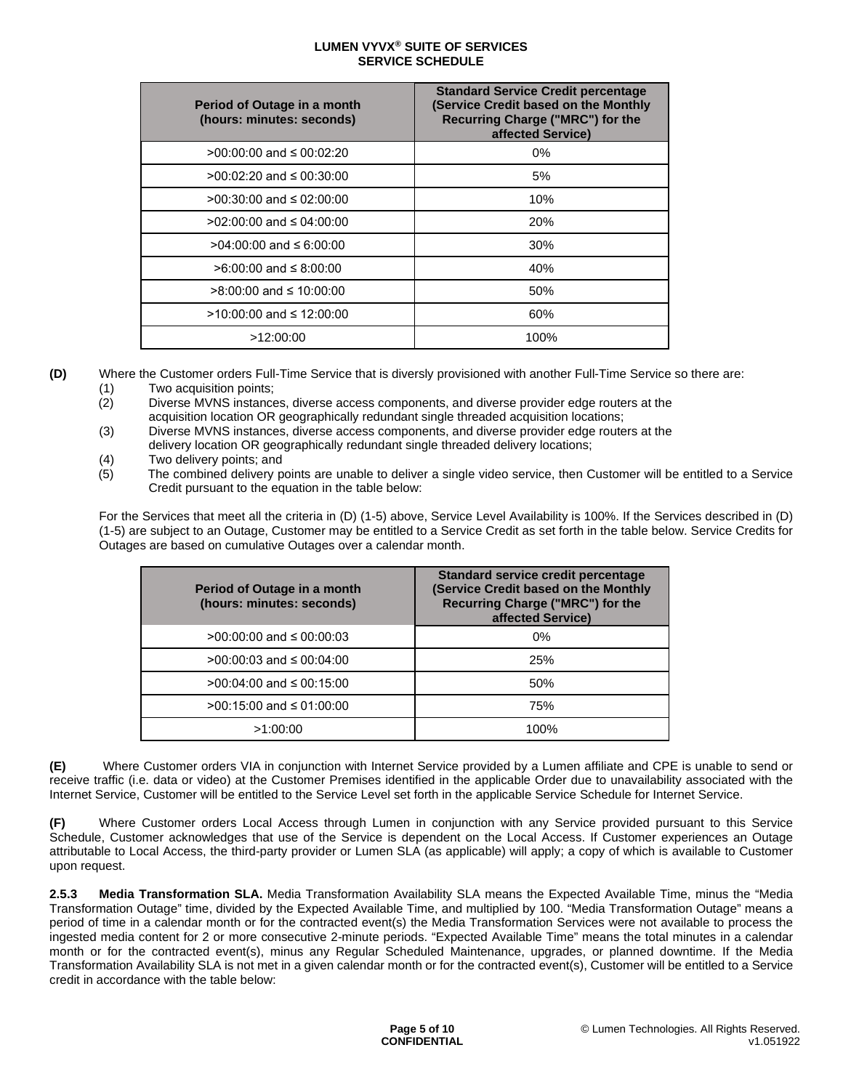| Period of Outage in a month<br>(hours: minutes: seconds) | <b>Standard Service Credit percentage</b><br>(Service Credit based on the Monthly<br>Recurring Charge ("MRC") for the<br>affected Service) |
|----------------------------------------------------------|--------------------------------------------------------------------------------------------------------------------------------------------|
| $>00:00:00$ and $\leq 00:02:20$                          | 0%                                                                                                                                         |
| $>0.00:02:20$ and $\leq 0.00:30:00$                      | 5%                                                                                                                                         |
| $>$ 00:30:00 and ≤ 02:00:00                              | 10%                                                                                                                                        |
| >02:00:00 and ≤ 04:00:00                                 | <b>20%</b>                                                                                                                                 |
| $>04:00:00$ and $\leq 6:00:00$                           | 30%                                                                                                                                        |
| $>6:00:00$ and $\leq 8:00:00$                            | 40%                                                                                                                                        |
| $>8:00:00$ and ≤ 10:00:00                                | 50%                                                                                                                                        |
| >10:00:00 and ≤ 12:00:00                                 | 60%                                                                                                                                        |
| >12:00:00                                                | 100%                                                                                                                                       |

**(D)** Where the Customer orders Full-Time Service that is diversly provisioned with another Full-Time Service so there are: (1) Two acquisition points;

- (2) Diverse MVNS instances, diverse access components, and diverse provider edge routers at the acquisition location OR geographically redundant single threaded acquisition locations;
- (3) Diverse MVNS instances, diverse access components, and diverse provider edge routers at the delivery location OR geographically redundant single threaded delivery locations;
- (4) Two delivery points; and<br>(5) The combined delivery po
- The combined delivery points are unable to deliver a single video service, then Customer will be entitled to a Service Credit pursuant to the equation in the table below:

For the Services that meet all the criteria in (D) (1-5) above, Service Level Availability is 100%. If the Services described in (D) (1-5) are subject to an Outage, Customer may be entitled to a Service Credit as set forth in the table below. Service Credits for Outages are based on cumulative Outages over a calendar month.

| Period of Outage in a month<br>(hours: minutes: seconds) | <b>Standard service credit percentage</b><br>(Service Credit based on the Monthly<br>Recurring Charge ("MRC") for the<br>affected Service) |
|----------------------------------------------------------|--------------------------------------------------------------------------------------------------------------------------------------------|
| >00:00:00 and ≤ 00:00:03                                 | 0%                                                                                                                                         |
| >00:00:03 and ≤ 00:04:00                                 | 25%                                                                                                                                        |
| >00:04:00 and ≤ 00:15:00                                 | 50%                                                                                                                                        |
| >00:15:00 and ≤ 01:00:00                                 | 75%                                                                                                                                        |
| >1.00.00                                                 | 100%                                                                                                                                       |

**(E)** Where Customer orders VIA in conjunction with Internet Service provided by a Lumen affiliate and CPE is unable to send or receive traffic (i.e. data or video) at the Customer Premises identified in the applicable Order due to unavailability associated with the Internet Service, Customer will be entitled to the Service Level set forth in the applicable Service Schedule for Internet Service.

**(F)** Where Customer orders Local Access through Lumen in conjunction with any Service provided pursuant to this Service Schedule, Customer acknowledges that use of the Service is dependent on the Local Access. If Customer experiences an Outage attributable to Local Access, the third-party provider or Lumen SLA (as applicable) will apply; a copy of which is available to Customer upon request.

**2.5.3 Media Transformation SLA.** Media Transformation Availability SLA means the Expected Available Time, minus the "Media Transformation Outage" time, divided by the Expected Available Time, and multiplied by 100. "Media Transformation Outage" means a period of time in a calendar month or for the contracted event(s) the Media Transformation Services were not available to process the ingested media content for 2 or more consecutive 2-minute periods. "Expected Available Time" means the total minutes in a calendar month or for the contracted event(s), minus any Regular Scheduled Maintenance, upgrades, or planned downtime. If the Media Transformation Availability SLA is not met in a given calendar month or for the contracted event(s), Customer will be entitled to a Service credit in accordance with the table below: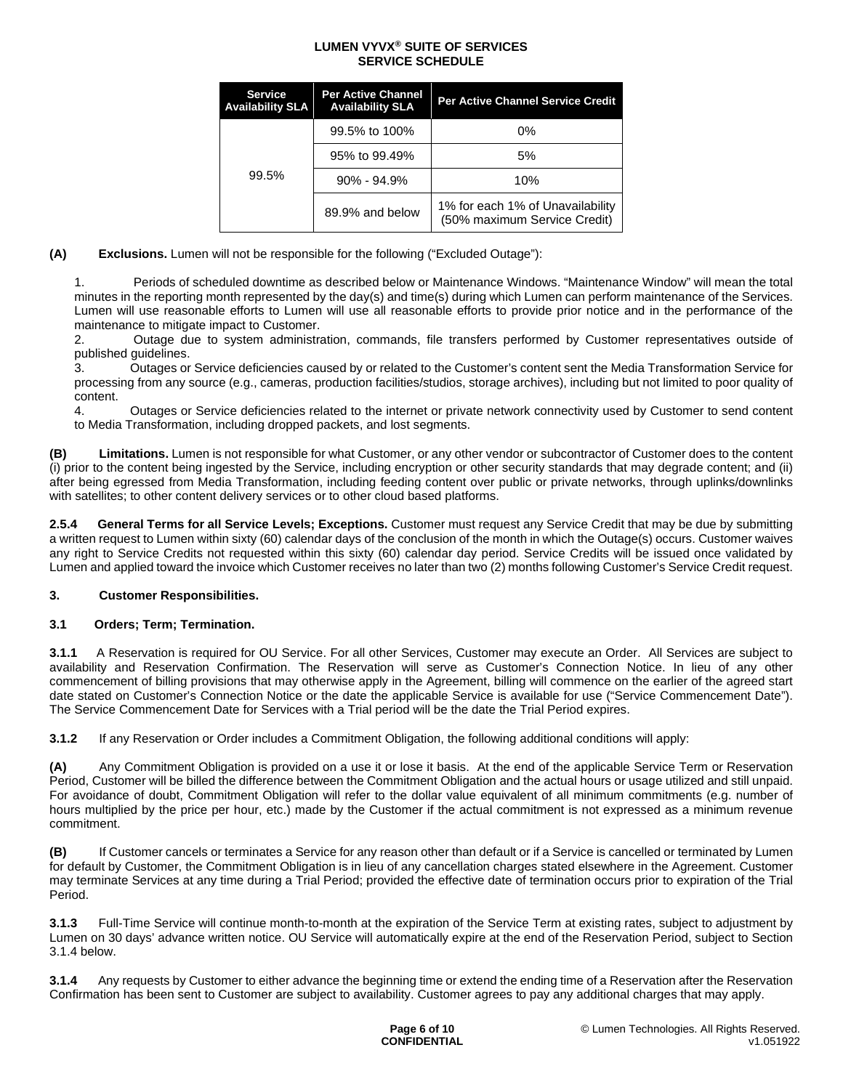| <b>Service</b><br><b>Availability SLA</b> | <b>Per Active Channel</b><br><b>Availability SLA</b> | <b>Per Active Channel Service Credit</b>                         |
|-------------------------------------------|------------------------------------------------------|------------------------------------------------------------------|
| 99.5%                                     | 99.5% to 100%                                        | 0%                                                               |
|                                           | 95% to 99.49%                                        | 5%                                                               |
|                                           | $90\% - 94.9\%$                                      | 10%                                                              |
|                                           | 89.9% and below                                      | 1% for each 1% of Unavailability<br>(50% maximum Service Credit) |

**(A) Exclusions.** Lumen will not be responsible for the following ("Excluded Outage"):

1. Periods of scheduled downtime as described below or Maintenance Windows. "Maintenance Window" will mean the total minutes in the reporting month represented by the day(s) and time(s) during which Lumen can perform maintenance of the Services. Lumen will use reasonable efforts to Lumen will use all reasonable efforts to provide prior notice and in the performance of the maintenance to mitigate impact to Customer.

2. Outage due to system administration, commands, file transfers performed by Customer representatives outside of published guidelines.

3. Outages or Service deficiencies caused by or related to the Customer's content sent the Media Transformation Service for processing from any source (e.g., cameras, production facilities/studios, storage archives), including but not limited to poor quality of content.

4. Outages or Service deficiencies related to the internet or private network connectivity used by Customer to send content to Media Transformation, including dropped packets, and lost segments.

**(B) Limitations.** Lumen is not responsible for what Customer, or any other vendor or subcontractor of Customer does to the content (i) prior to the content being ingested by the Service, including encryption or other security standards that may degrade content; and (ii) after being egressed from Media Transformation, including feeding content over public or private networks, through uplinks/downlinks with satellites; to other content delivery services or to other cloud based platforms.

**2.5.4 General Terms for all Service Levels; Exceptions.** Customer must request any Service Credit that may be due by submitting a written request to Lumen within sixty (60) calendar days of the conclusion of the month in which the Outage(s) occurs. Customer waives any right to Service Credits not requested within this sixty (60) calendar day period. Service Credits will be issued once validated by Lumen and applied toward the invoice which Customer receives no later than two (2) months following Customer's Service Credit request.

## **3. Customer Responsibilities.**

## **3.1 Orders; Term; Termination.**

**3.1.1** A Reservation is required for OU Service. For all other Services, Customer may execute an Order. All Services are subject to availability and Reservation Confirmation. The Reservation will serve as Customer's Connection Notice. In lieu of any other commencement of billing provisions that may otherwise apply in the Agreement, billing will commence on the earlier of the agreed start date stated on Customer's Connection Notice or the date the applicable Service is available for use ("Service Commencement Date"). The Service Commencement Date for Services with a Trial period will be the date the Trial Period expires.

**3.1.2** If any Reservation or Order includes a Commitment Obligation, the following additional conditions will apply:

**(A)** Any Commitment Obligation is provided on a use it or lose it basis. At the end of the applicable Service Term or Reservation Period, Customer will be billed the difference between the Commitment Obligation and the actual hours or usage utilized and still unpaid. For avoidance of doubt, Commitment Obligation will refer to the dollar value equivalent of all minimum commitments (e.g. number of hours multiplied by the price per hour, etc.) made by the Customer if the actual commitment is not expressed as a minimum revenue commitment.

**(B)** If Customer cancels or terminates a Service for any reason other than default or if a Service is cancelled or terminated by Lumen for default by Customer, the Commitment Obligation is in lieu of any cancellation charges stated elsewhere in the Agreement. Customer may terminate Services at any time during a Trial Period; provided the effective date of termination occurs prior to expiration of the Trial Period.

**3.1.3** Full-Time Service will continue month-to-month at the expiration of the Service Term at existing rates, subject to adjustment by Lumen on 30 days' advance written notice. OU Service will automatically expire at the end of the Reservation Period, subject to Section 3.1.4 below.

**3.1.4** Any requests by Customer to either advance the beginning time or extend the ending time of a Reservation after the Reservation Confirmation has been sent to Customer are subject to availability. Customer agrees to pay any additional charges that may apply.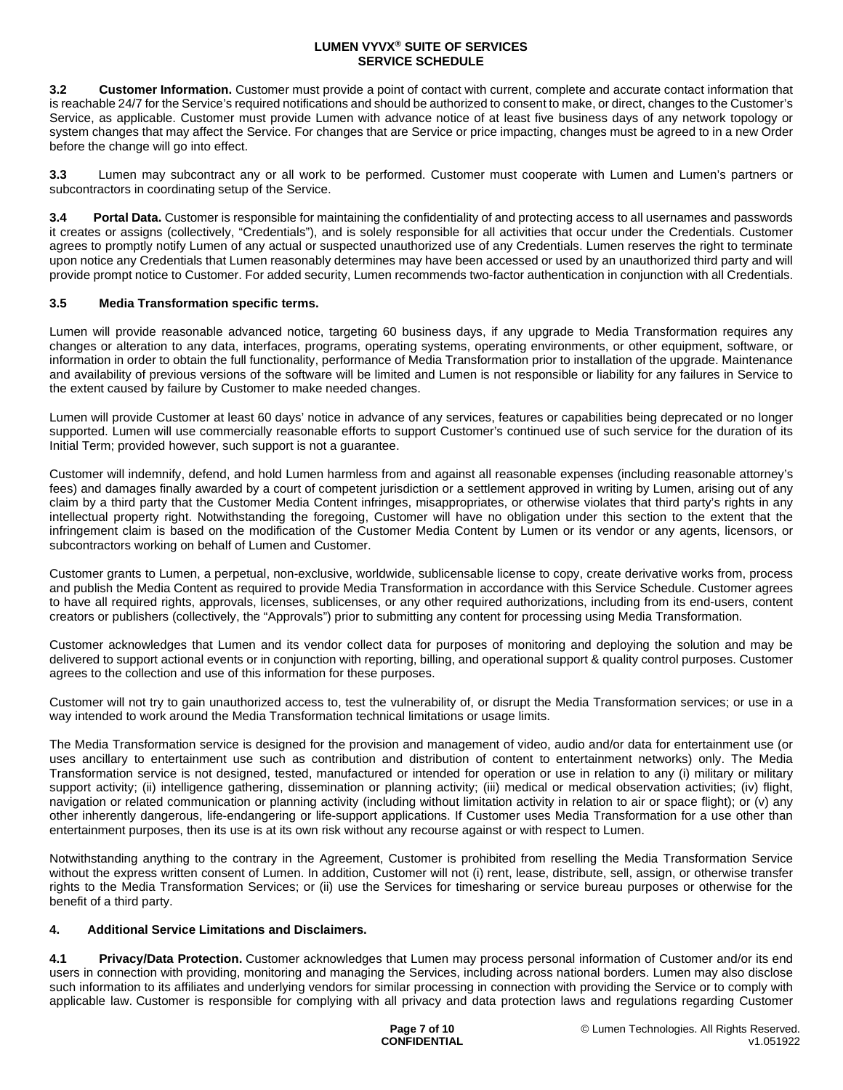**3.2 Customer Information.** Customer must provide a point of contact with current, complete and accurate contact information that is reachable 24/7 for the Service's required notifications and should be authorized to consent to make, or direct, changes to the Customer's Service, as applicable. Customer must provide Lumen with advance notice of at least five business days of any network topology or system changes that may affect the Service. For changes that are Service or price impacting, changes must be agreed to in a new Order before the change will go into effect.

**3.3** Lumen may subcontract any or all work to be performed. Customer must cooperate with Lumen and Lumen's partners or subcontractors in coordinating setup of the Service.

**3.4 Portal Data.** Customer is responsible for maintaining the confidentiality of and protecting access to all usernames and passwords it creates or assigns (collectively, "Credentials"), and is solely responsible for all activities that occur under the Credentials. Customer agrees to promptly notify Lumen of any actual or suspected unauthorized use of any Credentials. Lumen reserves the right to terminate upon notice any Credentials that Lumen reasonably determines may have been accessed or used by an unauthorized third party and will provide prompt notice to Customer. For added security, Lumen recommends two-factor authentication in conjunction with all Credentials.

## **3.5 Media Transformation specific terms.**

Lumen will provide reasonable advanced notice, targeting 60 business days, if any upgrade to Media Transformation requires any changes or alteration to any data, interfaces, programs, operating systems, operating environments, or other equipment, software, or information in order to obtain the full functionality, performance of Media Transformation prior to installation of the upgrade. Maintenance and availability of previous versions of the software will be limited and Lumen is not responsible or liability for any failures in Service to the extent caused by failure by Customer to make needed changes.

Lumen will provide Customer at least 60 days' notice in advance of any services, features or capabilities being deprecated or no longer supported. Lumen will use commercially reasonable efforts to support Customer's continued use of such service for the duration of its Initial Term; provided however, such support is not a guarantee.

Customer will indemnify, defend, and hold Lumen harmless from and against all reasonable expenses (including reasonable attorney's fees) and damages finally awarded by a court of competent jurisdiction or a settlement approved in writing by Lumen, arising out of any claim by a third party that the Customer Media Content infringes, misappropriates, or otherwise violates that third party's rights in any intellectual property right. Notwithstanding the foregoing, Customer will have no obligation under this section to the extent that the infringement claim is based on the modification of the Customer Media Content by Lumen or its vendor or any agents, licensors, or subcontractors working on behalf of Lumen and Customer.

Customer grants to Lumen, a perpetual, non-exclusive, worldwide, sublicensable license to copy, create derivative works from, process and publish the Media Content as required to provide Media Transformation in accordance with this Service Schedule. Customer agrees to have all required rights, approvals, licenses, sublicenses, or any other required authorizations, including from its end-users, content creators or publishers (collectively, the "Approvals") prior to submitting any content for processing using Media Transformation.

Customer acknowledges that Lumen and its vendor collect data for purposes of monitoring and deploying the solution and may be delivered to support actional events or in conjunction with reporting, billing, and operational support & quality control purposes. Customer agrees to the collection and use of this information for these purposes.

Customer will not try to gain unauthorized access to, test the vulnerability of, or disrupt the Media Transformation services; or use in a way intended to work around the Media Transformation technical limitations or usage limits.

The Media Transformation service is designed for the provision and management of video, audio and/or data for entertainment use (or uses ancillary to entertainment use such as contribution and distribution of content to entertainment networks) only. The Media Transformation service is not designed, tested, manufactured or intended for operation or use in relation to any (i) military or military support activity; (ii) intelligence gathering, dissemination or planning activity; (iii) medical or medical observation activities; (iv) flight, navigation or related communication or planning activity (including without limitation activity in relation to air or space flight); or (v) any other inherently dangerous, life-endangering or life-support applications. If Customer uses Media Transformation for a use other than entertainment purposes, then its use is at its own risk without any recourse against or with respect to Lumen.

Notwithstanding anything to the contrary in the Agreement, Customer is prohibited from reselling the Media Transformation Service without the express written consent of Lumen. In addition, Customer will not (i) rent, lease, distribute, sell, assign, or otherwise transfer rights to the Media Transformation Services; or (ii) use the Services for timesharing or service bureau purposes or otherwise for the benefit of a third party.

### **4. Additional Service Limitations and Disclaimers.**

**4.1 Privacy/Data Protection.** Customer acknowledges that Lumen may process personal information of Customer and/or its end users in connection with providing, monitoring and managing the Services, including across national borders. Lumen may also disclose such information to its affiliates and underlying vendors for similar processing in connection with providing the Service or to comply with applicable law. Customer is responsible for complying with all privacy and data protection laws and regulations regarding Customer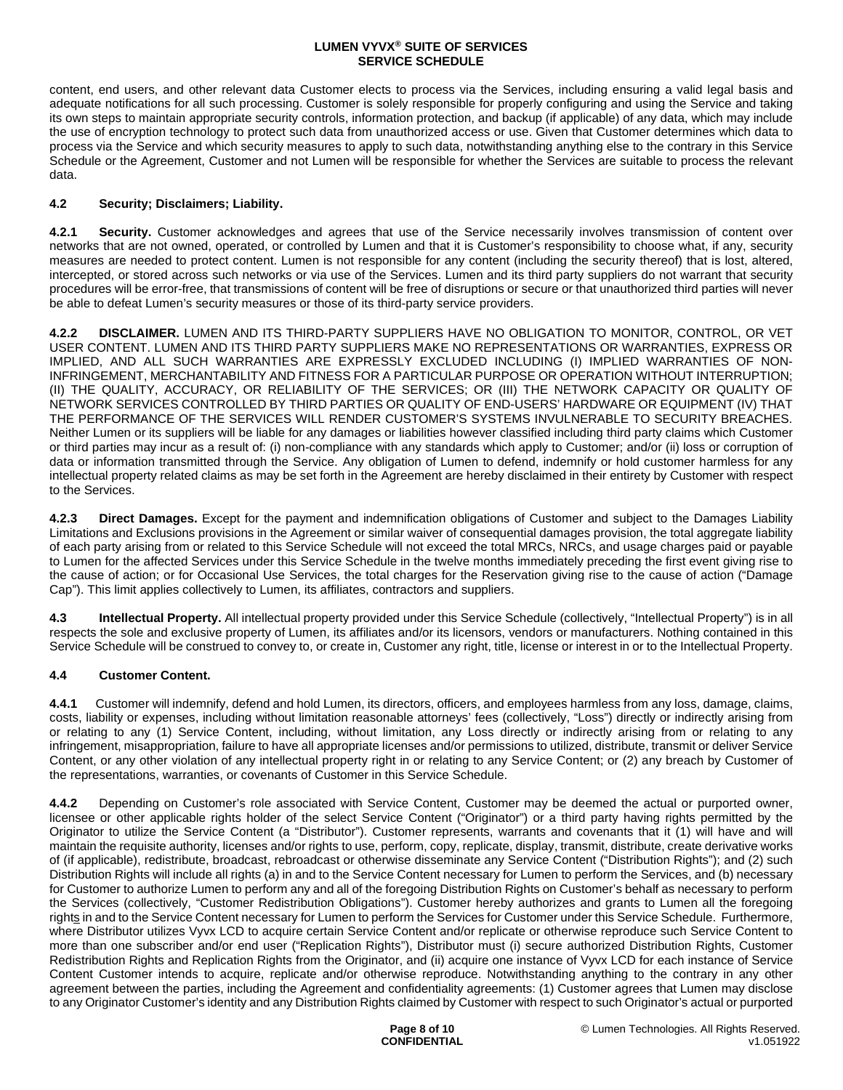content, end users, and other relevant data Customer elects to process via the Services, including ensuring a valid legal basis and adequate notifications for all such processing. Customer is solely responsible for properly configuring and using the Service and taking its own steps to maintain appropriate security controls, information protection, and backup (if applicable) of any data, which may include the use of encryption technology to protect such data from unauthorized access or use. Given that Customer determines which data to process via the Service and which security measures to apply to such data, notwithstanding anything else to the contrary in this Service Schedule or the Agreement, Customer and not Lumen will be responsible for whether the Services are suitable to process the relevant data.

## **4.2 Security; Disclaimers; Liability.**

**4.2.1 Security.** Customer acknowledges and agrees that use of the Service necessarily involves transmission of content over networks that are not owned, operated, or controlled by Lumen and that it is Customer's responsibility to choose what, if any, security measures are needed to protect content. Lumen is not responsible for any content (including the security thereof) that is lost, altered, intercepted, or stored across such networks or via use of the Services. Lumen and its third party suppliers do not warrant that security procedures will be error-free, that transmissions of content will be free of disruptions or secure or that unauthorized third parties will never be able to defeat Lumen's security measures or those of its third-party service providers.

**4.2.2 DISCLAIMER.** LUMEN AND ITS THIRD-PARTY SUPPLIERS HAVE NO OBLIGATION TO MONITOR, CONTROL, OR VET USER CONTENT. LUMEN AND ITS THIRD PARTY SUPPLIERS MAKE NO REPRESENTATIONS OR WARRANTIES, EXPRESS OR IMPLIED, AND ALL SUCH WARRANTIES ARE EXPRESSLY EXCLUDED INCLUDING (I) IMPLIED WARRANTIES OF NON-INFRINGEMENT, MERCHANTABILITY AND FITNESS FOR A PARTICULAR PURPOSE OR OPERATION WITHOUT INTERRUPTION; (II) THE QUALITY, ACCURACY, OR RELIABILITY OF THE SERVICES; OR (III) THE NETWORK CAPACITY OR QUALITY OF NETWORK SERVICES CONTROLLED BY THIRD PARTIES OR QUALITY OF END-USERS' HARDWARE OR EQUIPMENT (IV) THAT THE PERFORMANCE OF THE SERVICES WILL RENDER CUSTOMER'S SYSTEMS INVULNERABLE TO SECURITY BREACHES. Neither Lumen or its suppliers will be liable for any damages or liabilities however classified including third party claims which Customer or third parties may incur as a result of: (i) non-compliance with any standards which apply to Customer; and/or (ii) loss or corruption of data or information transmitted through the Service. Any obligation of Lumen to defend, indemnify or hold customer harmless for any intellectual property related claims as may be set forth in the Agreement are hereby disclaimed in their entirety by Customer with respect to the Services.

**4.2.3 Direct Damages.** Except for the payment and indemnification obligations of Customer and subject to the Damages Liability Limitations and Exclusions provisions in the Agreement or similar waiver of consequential damages provision, the total aggregate liability of each party arising from or related to this Service Schedule will not exceed the total MRCs, NRCs, and usage charges paid or payable to Lumen for the affected Services under this Service Schedule in the twelve months immediately preceding the first event giving rise to the cause of action; or for Occasional Use Services, the total charges for the Reservation giving rise to the cause of action ("Damage Cap"). This limit applies collectively to Lumen, its affiliates, contractors and suppliers.

**4.3 Intellectual Property.** All intellectual property provided under this Service Schedule (collectively, "Intellectual Property") is in all respects the sole and exclusive property of Lumen, its affiliates and/or its licensors, vendors or manufacturers. Nothing contained in this Service Schedule will be construed to convey to, or create in, Customer any right, title, license or interest in or to the Intellectual Property.

# **4.4 Customer Content.**

**4.4.1** Customer will indemnify, defend and hold Lumen, its directors, officers, and employees harmless from any loss, damage, claims, costs, liability or expenses, including without limitation reasonable attorneys' fees (collectively, "Loss") directly or indirectly arising from or relating to any (1) Service Content, including, without limitation, any Loss directly or indirectly arising from or relating to any infringement, misappropriation, failure to have all appropriate licenses and/or permissions to utilized, distribute, transmit or deliver Service Content, or any other violation of any intellectual property right in or relating to any Service Content; or (2) any breach by Customer of the representations, warranties, or covenants of Customer in this Service Schedule.

**4.4.2** Depending on Customer's role associated with Service Content, Customer may be deemed the actual or purported owner, licensee or other applicable rights holder of the select Service Content ("Originator") or a third party having rights permitted by the Originator to utilize the Service Content (a "Distributor"). Customer represents, warrants and covenants that it (1) will have and will maintain the requisite authority, licenses and/or rights to use, perform, copy, replicate, display, transmit, distribute, create derivative works of (if applicable), redistribute, broadcast, rebroadcast or otherwise disseminate any Service Content ("Distribution Rights"); and (2) such Distribution Rights will include all rights (a) in and to the Service Content necessary for Lumen to perform the Services, and (b) necessary for Customer to authorize Lumen to perform any and all of the foregoing Distribution Rights on Customer's behalf as necessary to perform the Services (collectively, "Customer Redistribution Obligations"). Customer hereby authorizes and grants to Lumen all the foregoing rights in and to the Service Content necessary for Lumen to perform the Services for Customer under this Service Schedule. Furthermore, where Distributor utilizes Vyvx LCD to acquire certain Service Content and/or replicate or otherwise reproduce such Service Content to more than one subscriber and/or end user ("Replication Rights"), Distributor must (i) secure authorized Distribution Rights, Customer Redistribution Rights and Replication Rights from the Originator, and (ii) acquire one instance of Vyvx LCD for each instance of Service Content Customer intends to acquire, replicate and/or otherwise reproduce. Notwithstanding anything to the contrary in any other agreement between the parties, including the Agreement and confidentiality agreements: (1) Customer agrees that Lumen may disclose to any Originator Customer's identity and any Distribution Rights claimed by Customer with respect to such Originator's actual or purported

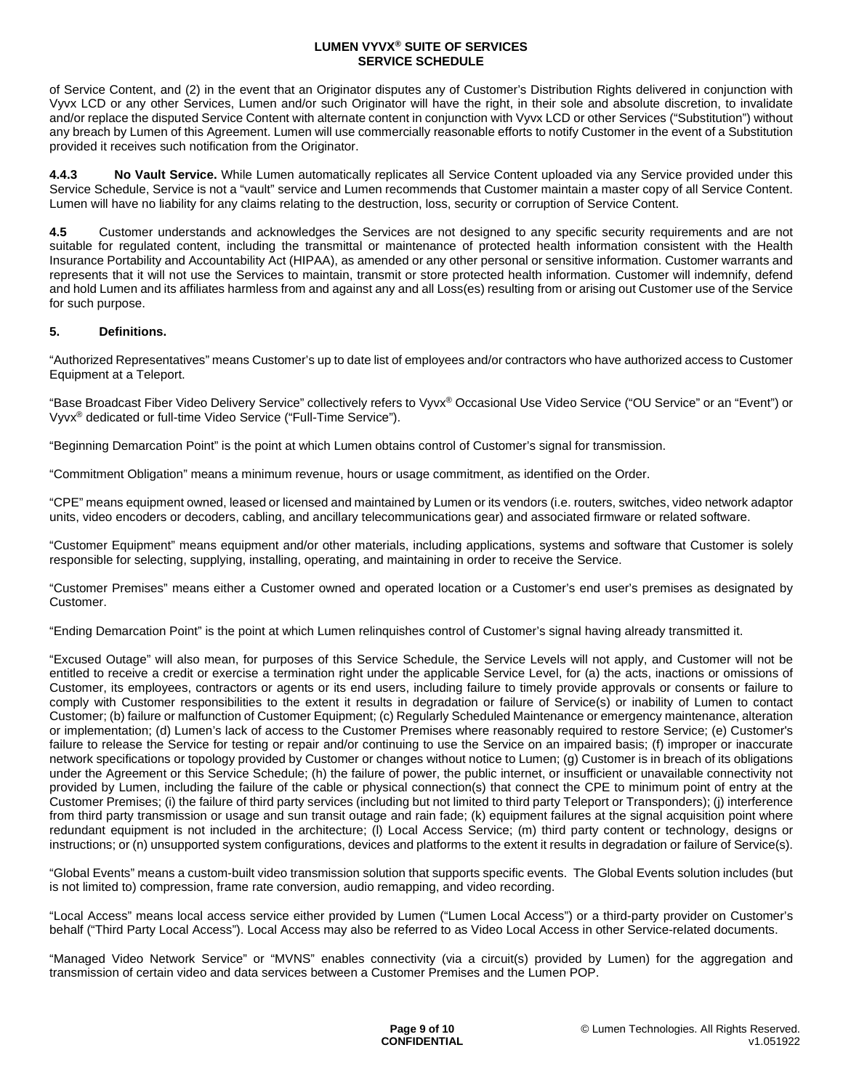of Service Content, and (2) in the event that an Originator disputes any of Customer's Distribution Rights delivered in conjunction with Vyvx LCD or any other Services, Lumen and/or such Originator will have the right, in their sole and absolute discretion, to invalidate and/or replace the disputed Service Content with alternate content in conjunction with Vyvx LCD or other Services ("Substitution") without any breach by Lumen of this Agreement. Lumen will use commercially reasonable efforts to notify Customer in the event of a Substitution provided it receives such notification from the Originator.

**4.4.3 No Vault Service.** While Lumen automatically replicates all Service Content uploaded via any Service provided under this Service Schedule, Service is not a "vault" service and Lumen recommends that Customer maintain a master copy of all Service Content. Lumen will have no liability for any claims relating to the destruction, loss, security or corruption of Service Content.

**4.5** Customer understands and acknowledges the Services are not designed to any specific security requirements and are not suitable for regulated content, including the transmittal or maintenance of protected health information consistent with the Health Insurance Portability and Accountability Act (HIPAA), as amended or any other personal or sensitive information. Customer warrants and represents that it will not use the Services to maintain, transmit or store protected health information. Customer will indemnify, defend and hold Lumen and its affiliates harmless from and against any and all Loss(es) resulting from or arising out Customer use of the Service for such purpose.

## **5. Definitions.**

"Authorized Representatives" means Customer's up to date list of employees and/or contractors who have authorized access to Customer Equipment at a Teleport.

"Base Broadcast Fiber Video Delivery Service" collectively refers to Vyvx® Occasional Use Video Service ("OU Service" or an "Event") or Vyvx® dedicated or full-time Video Service ("Full-Time Service").

"Beginning Demarcation Point" is the point at which Lumen obtains control of Customer's signal for transmission.

"Commitment Obligation" means a minimum revenue, hours or usage commitment, as identified on the Order.

"CPE" means equipment owned, leased or licensed and maintained by Lumen or its vendors (i.e. routers, switches, video network adaptor units, video encoders or decoders, cabling, and ancillary telecommunications gear) and associated firmware or related software.

"Customer Equipment" means equipment and/or other materials, including applications, systems and software that Customer is solely responsible for selecting, supplying, installing, operating, and maintaining in order to receive the Service.

"Customer Premises" means either a Customer owned and operated location or a Customer's end user's premises as designated by Customer.

"Ending Demarcation Point" is the point at which Lumen relinquishes control of Customer's signal having already transmitted it.

"Excused Outage" will also mean, for purposes of this Service Schedule, the Service Levels will not apply, and Customer will not be entitled to receive a credit or exercise a termination right under the applicable Service Level, for (a) the acts, inactions or omissions of Customer, its employees, contractors or agents or its end users, including failure to timely provide approvals or consents or failure to comply with Customer responsibilities to the extent it results in degradation or failure of Service(s) or inability of Lumen to contact Customer; (b) failure or malfunction of Customer Equipment; (c) Regularly Scheduled Maintenance or emergency maintenance, alteration or implementation; (d) Lumen's lack of access to the Customer Premises where reasonably required to restore Service; (e) Customer's failure to release the Service for testing or repair and/or continuing to use the Service on an impaired basis: (f) improper or inaccurate network specifications or topology provided by Customer or changes without notice to Lumen; (g) Customer is in breach of its obligations under the Agreement or this Service Schedule; (h) the failure of power, the public internet, or insufficient or unavailable connectivity not provided by Lumen, including the failure of the cable or physical connection(s) that connect the CPE to minimum point of entry at the Customer Premises; (i) the failure of third party services (including but not limited to third party Teleport or Transponders); (j) interference from third party transmission or usage and sun transit outage and rain fade; (k) equipment failures at the signal acquisition point where redundant equipment is not included in the architecture; (I) Local Access Service; (m) third party content or technology, designs or instructions; or (n) unsupported system configurations, devices and platforms to the extent it results in degradation or failure of Service(s).

"Global Events" means a custom-built video transmission solution that supports specific events. The Global Events solution includes (but is not limited to) compression, frame rate conversion, audio remapping, and video recording.

"Local Access" means local access service either provided by Lumen ("Lumen Local Access") or a third-party provider on Customer's behalf ("Third Party Local Access"). Local Access may also be referred to as Video Local Access in other Service-related documents.

"Managed Video Network Service" or "MVNS" enables connectivity (via a circuit(s) provided by Lumen) for the aggregation and transmission of certain video and data services between a Customer Premises and the Lumen POP.